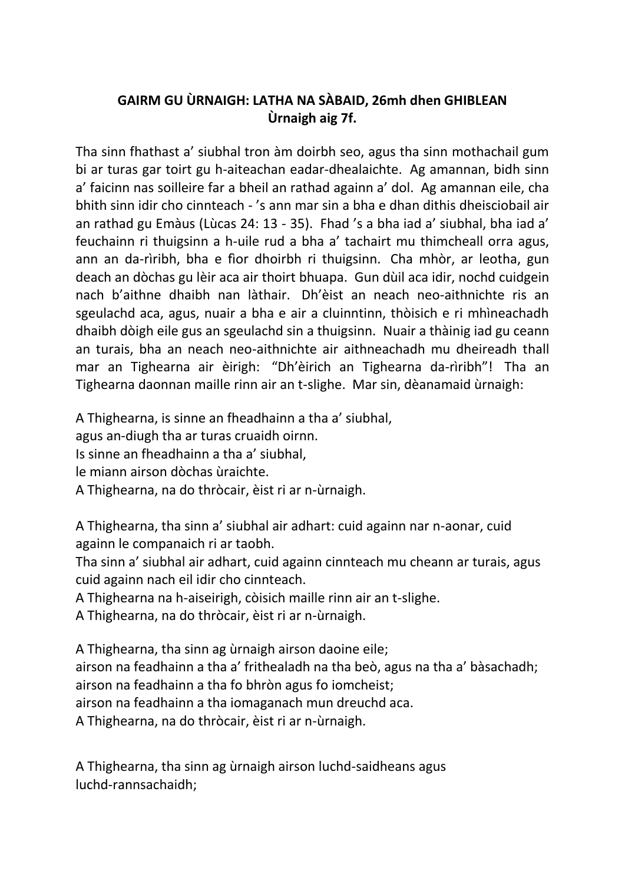## **GAIRM GU ÙRNAIGH: LATHA NA SÀBAID, 26mh dhen GHIBLEAN Ùrnaigh aig 7f.**

Tha sinn fhathast a' siubhal tron àm doirbh seo, agus tha sinn mothachail gum bi ar turas gar toirt gu h-aiteachan eadar-dhealaichte. Ag amannan, bidh sinn a' faicinn nas soilleire far a bheil an rathad againn a' dol. Ag amannan eile, cha bhith sinn idir cho cinnteach - 's ann mar sin a bha e dhan dithis dheisciobail air an rathad gu Emàus (Lùcas 24: 13 - 35). Fhad 's a bha iad a' siubhal, bha iad a' feuchainn ri thuigsinn a h-uile rud a bha a' tachairt mu thimcheall orra agus, ann an da-rìribh, bha e fìor dhoirbh ri thuigsinn. Cha mhòr, ar leotha, gun deach an dòchas gu lèir aca air thoirt bhuapa. Gun dùil aca idir, nochd cuidgein nach b'aithne dhaibh nan làthair. Dh'èist an neach neo-aithnichte ris an sgeulachd aca, agus, nuair a bha e air a cluinntinn, thòisich e ri mhìneachadh dhaibh dòigh eile gus an sgeulachd sin a thuigsinn. Nuair a thàinig iad gu ceann an turais, bha an neach neo-aithnichte air aithneachadh mu dheireadh thall mar an Tighearna air èirigh: "Dh'èirich an Tighearna da-rìribh"! Tha an Tighearna daonnan maille rinn air an t-slighe. Mar sin, dèanamaid ùrnaigh:

A Thighearna, is sinne an fheadhainn a tha a' siubhal,

agus an-diugh tha ar turas cruaidh oirnn.

Is sinne an fheadhainn a tha a' siubhal,

le miann airson dòchas ùraichte.

A Thighearna, na do thròcair, èist ri ar n-ùrnaigh.

A Thighearna, tha sinn a' siubhal air adhart: cuid againn nar n-aonar, cuid againn le companaich ri ar taobh.

Tha sinn a' siubhal air adhart, cuid againn cinnteach mu cheann ar turais, agus cuid againn nach eil idir cho cinnteach.

A Thighearna na h-aiseirigh, còisich maille rinn air an t-slighe.

A Thighearna, na do thròcair, èist ri ar n-ùrnaigh.

A Thighearna, tha sinn ag ùrnaigh airson daoine eile; airson na feadhainn a tha a' frithealadh na tha beò, agus na tha a' bàsachadh; airson na feadhainn a tha fo bhròn agus fo iomcheist; airson na feadhainn a tha iomaganach mun dreuchd aca. A Thighearna, na do thròcair, èist ri ar n-ùrnaigh.

A Thighearna, tha sinn ag ùrnaigh airson luchd-saidheans agus luchd-rannsachaidh;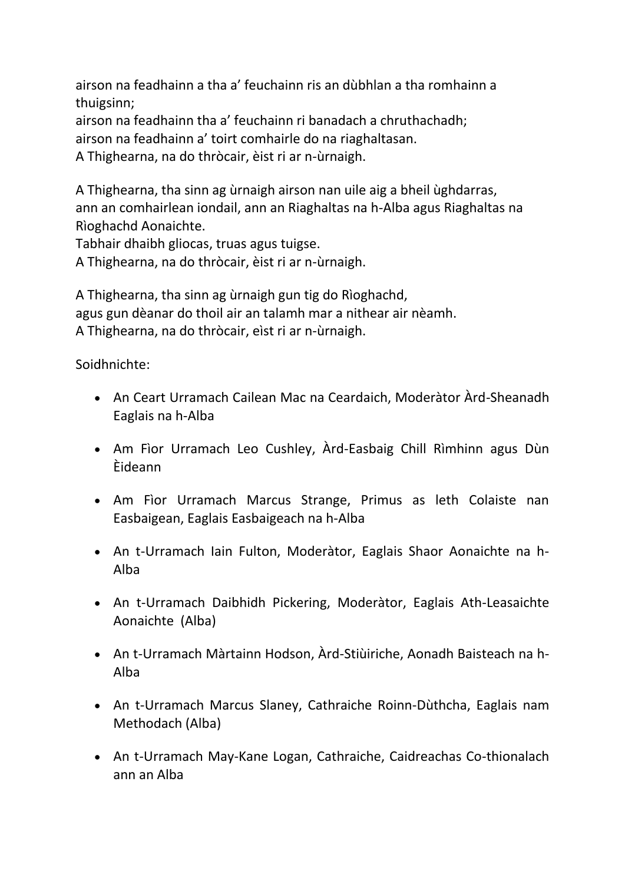airson na feadhainn a tha a' feuchainn ris an dùbhlan a tha romhainn a thuigsinn;

airson na feadhainn tha a' feuchainn ri banadach a chruthachadh; airson na feadhainn a' toirt comhairle do na riaghaltasan.

A Thighearna, na do thròcair, èist ri ar n-ùrnaigh.

A Thighearna, tha sinn ag ùrnaigh airson nan uile aig a bheil ùghdarras, ann an comhairlean iondail, ann an Riaghaltas na h-Alba agus Riaghaltas na Rìoghachd Aonaichte.

Tabhair dhaibh gliocas, truas agus tuigse.

A Thighearna, na do thròcair, èist ri ar n-ùrnaigh.

A Thighearna, tha sinn ag ùrnaigh gun tig do Rìoghachd, agus gun dèanar do thoil air an talamh mar a nithear air nèamh. A Thighearna, na do thròcair, eìst ri ar n-ùrnaigh.

Soidhnichte:

- An Ceart Urramach Cailean Mac na Ceardaich, Moderàtor Àrd-Sheanadh Eaglais na h-Alba
- Am Fìor Urramach Leo Cushley, Àrd-Easbaig Chill Rìmhinn agus Dùn Èideann
- Am Fìor Urramach Marcus Strange, Primus as leth Colaiste nan Easbaigean, Eaglais Easbaigeach na h-Alba
- An t-Urramach Iain Fulton, Moderàtor, Eaglais Shaor Aonaichte na h-Alba
- An t-Urramach Daibhidh Pickering, Moderàtor, Eaglais Ath-Leasaichte Aonaichte (Alba)
- An t-Urramach Màrtainn Hodson, Àrd-Stiùiriche, Aonadh Baisteach na h-Alba
- An t-Urramach Marcus Slaney, Cathraiche Roinn-Dùthcha, Eaglais nam Methodach (Alba)
- An t-Urramach May-Kane Logan, Cathraiche, Caidreachas Co-thionalach ann an Alba